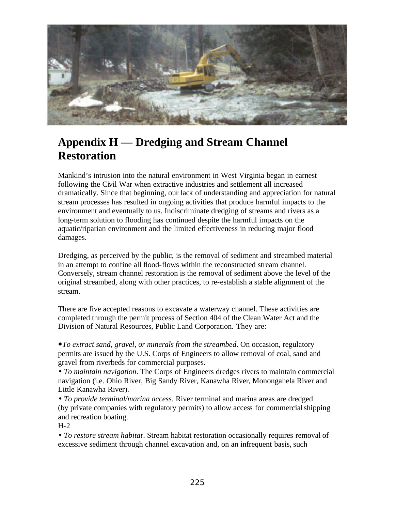

# **Appendix H — Dredging and Stream Channel Restoration**

Mankind's intrusion into the natural environment in West Virginia began in earnest following the Civil War when extractive industries and settlement all increased dramatically. Since that beginning, our lack of understanding and appreciation for natural stream processes has resulted in ongoing activities that produce harmful impacts to the environment and eventually to us. Indiscriminate dredging of streams and rivers as a long-term solution to flooding has continued despite the harmful impacts on the aquatic/riparian environment and the limited effectiveness in reducing major flood damages.

Dredging, as perceived by the public, is the removal of sediment and streambed material in an attempt to confine all flood-flows within the reconstructed stream channel. Conversely, stream channel restoration is the removal of sediment above the level of the original streambed, along with other practices, to re-establish a stable alignment of the stream.

There are five accepted reasons to excavate a waterway channel. These activities are completed through the permit process of Section 404 of the Clean Water Act and the Division of Natural Resources, Public Land Corporation. They are:

ó*To extract sand, gravel, or minerals from the streambed*. On occasion, regulatory permits are issued by the U.S. Corps of Engineers to allow removal of coal, sand and gravel from riverbeds for commercial purposes.

• *To maintain navigation*. The Corps of Engineers dredges rivers to maintain commercial navigation (i.e. Ohio River, Big Sandy River, Kanawha River, Monongahela River and Little Kanawha River).

• *To provide terminal/marina access*. River terminal and marina areas are dredged (by private companies with regulatory permits) to allow access for commercialshipping and recreation boating.

H-2

• *To restore stream habitat*. Stream habitat restoration occasionally requires removal of excessive sediment through channel excavation and, on an infrequent basis, such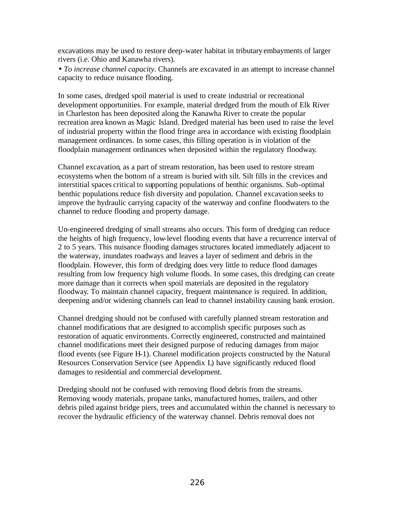excavations may be used to restore deep-water habitat in tributaryembayments of larger rivers (i.e. Ohio and Kanawha rivers).

• *To increase channel capacity.* Channels are excavated in an attempt to increase channel capacity to reduce nuisance flooding.

In some cases, dredged spoil material is used to create industrial or recreational development opportunities. For example, material dredged from the mouth of Elk River in Charleston has been deposited along the Kanawha River to create the popular recreation area known as Magic Island. Dredged material has been used to raise the level of industrial property within the flood fringe area in accordance with existing floodplain management ordinances. In some cases, this filling operation is in violation of the floodplain management ordinances when deposited within the regulatory floodway.

Channel excavation, as a part of stream restoration, has been used to restore stream ecosystems when the bottom of a stream is buried with silt. Silt fills in the crevices and interstitial spaces critical to supporting populations of benthic organisms. Sub-optimal benthic populations reduce fish diversity and population. Channel excavation seeks to improve the hydraulic carrying capacity of the waterway and confine floodwaters to the channel to reduce flooding and property damage.

Un-engineered dredging of small streams also occurs. This form of dredging can reduce the heights of high frequency, low-level flooding events that have a recurrence interval of 2 to 5 years. This nuisance flooding damages structures located immediately adjacent to the waterway, inundates roadways and leaves a layer of sediment and debris in the floodplain. However, this form of dredging does very little to reduce flood damages resulting from low frequency high volume floods. In some cases, this dredging can create more damage than it corrects when spoil materials are deposited in the regulatory floodway. To maintain channel capacity, frequent maintenance is required. In addition, deepening and/or widening channels can lead to channel instability causing bank erosion.

Channel dredging should not be confused with carefully planned stream restoration and channel modifications that are designed to accomplish specific purposes such as restoration of aquatic environments. Correctly engineered, constructed and maintained channel modifications meet their designed purpose of reducing damages from major flood events (see Figure H-1). Channel modification projects constructed by the Natural Resources Conservation Service (see Appendix L) have significantly reduced flood damages to residential and commercial development.

Dredging should not be confused with removing flood debris from the streams. Removing woody materials, propane tanks, manufactured homes, trailers, and other debris piled against bridge piers, trees and accumulated within the channel is necessary to recover the hydraulic efficiency of the waterway channel. Debris removal does not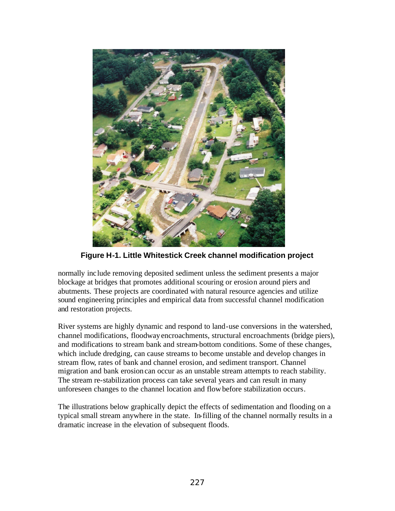

**Figure H-1. Little Whitestick Creek channel modification project**

normally include removing deposited sediment unless the sediment presents a major blockage at bridges that promotes additional scouring or erosion around piers and abutments. These projects are coordinated with natural resource agencies and utilize sound engineering principles and empirical data from successful channel modification and restoration projects.

River systems are highly dynamic and respond to land-use conversions in the watershed, channel modifications, floodway encroachments, structural encroachments (bridge piers), and modifications to stream bank and stream-bottom conditions. Some of these changes, which include dredging, can cause streams to become unstable and develop changes in stream flow, rates of bank and channel erosion, and sediment transport. Channel migration and bank erosion can occur as an unstable stream attempts to reach stability. The stream re-stabilization process can take several years and can result in many unforeseen changes to the channel location and flow before stabilization occurs.

The illustrations below graphically depict the effects of sedimentation and flooding on a typical small stream anywhere in the state. In-filling of the channel normally results in a dramatic increase in the elevation of subsequent floods.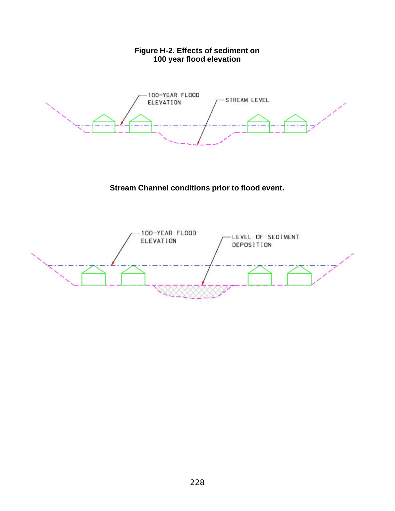## **Figure H-2. Effects of sediment on 100 year flood elevation**



# **Stream Channel conditions prior to flood event.**

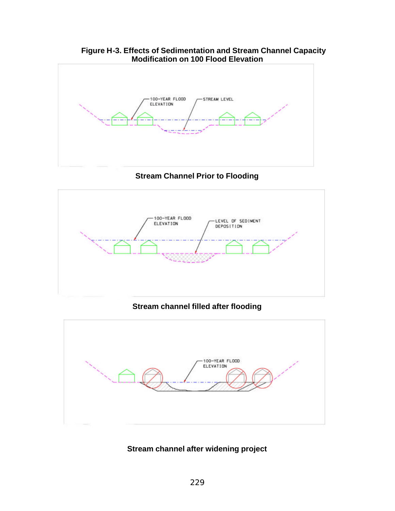### **Figure H-3. Effects of Sedimentation and Stream Channel Capacity Modification on 100 Flood Elevation**



**Stream Channel Prior to Flooding**



**Stream channel filled after flooding**



# **Stream channel after widening project**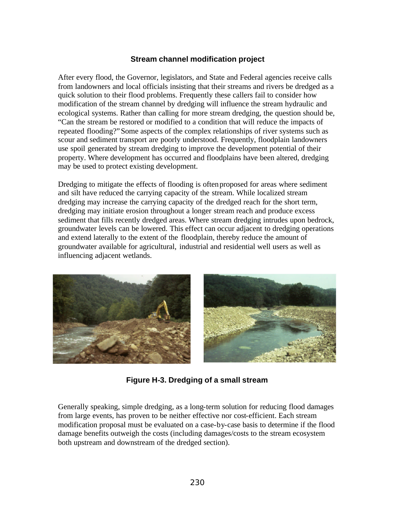## **Stream channel modification project**

After every flood, the Governor, legislators, and State and Federal agencies receive calls from landowners and local officials insisting that their streams and rivers be dredged as a quick solution to their flood problems. Frequently these callers fail to consider how modification of the stream channel by dredging will influence the stream hydraulic and ecological systems. Rather than calling for more stream dredging, the question should be, "Can the stream be restored or modified to a condition that will reduce the impacts of repeated flooding?"Some aspects of the complex relationships of river systems such as scour and sediment transport are poorly understood. Frequently, floodplain landowners use spoil generated by stream dredging to improve the development potential of their property. Where development has occurred and floodplains have been altered, dredging may be used to protect existing development.

Dredging to mitigate the effects of flooding is often proposed for areas where sediment and silt have reduced the carrying capacity of the stream. While localized stream dredging may increase the carrying capacity of the dredged reach for the short term, dredging may initiate erosion throughout a longer stream reach and produce excess sediment that fills recently dredged areas. Where stream dredging intrudes upon bedrock, groundwater levels can be lowered. This effect can occur adjacent to dredging operations and extend laterally to the extent of the floodplain, thereby reduce the amount of groundwater available for agricultural, industrial and residential well users as well as influencing adjacent wetlands.



**Figure H-3. Dredging of a small stream**

Generally speaking, simple dredging, as a long-term solution for reducing flood damages from large events, has proven to be neither effective nor cost-efficient. Each stream modification proposal must be evaluated on a case-by-case basis to determine if the flood damage benefits outweigh the costs (including damages/costs to the stream ecosystem both upstream and downstream of the dredged section).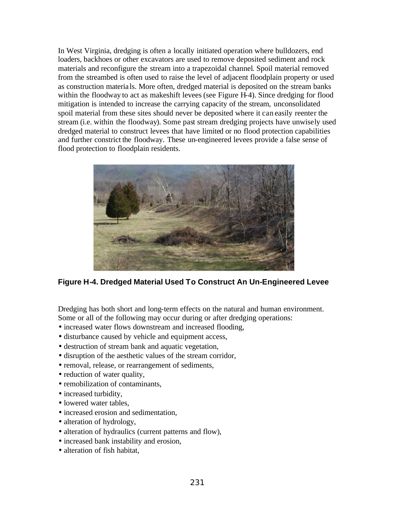In West Virginia, dredging is often a locally initiated operation where bulldozers, end loaders, backhoes or other excavators are used to remove deposited sediment and rock materials and reconfigure the stream into a trapezoidal channel. Spoil material removed from the streambed is often used to raise the level of adjacent floodplain property or used as construction materia ls. More often, dredged material is deposited on the stream banks within the floodway to act as makeshift levees (see Figure H-4). Since dredging for flood mitigation is intended to increase the carrying capacity of the stream, unconsolidated spoil material from these sites should never be deposited where it can easily reenter the stream (i.e. within the floodway). Some past stream dredging projects have unwisely used dredged material to construct levees that have limited or no flood protection capabilities and further constrict the floodway. These un-engineered levees provide a false sense of flood protection to floodplain residents.



**Figure H-4. Dredged Material Used To Construct An Un-Engineered Levee**

Dredging has both short and long-term effects on the natural and human environment. Some or all of the following may occur during or after dredging operations:

- increased water flows downstream and increased flooding,
- disturbance caused by vehicle and equipment access,
- destruction of stream bank and aquatic vegetation,
- disruption of the aesthetic values of the stream corridor,
- removal, release, or rearrangement of sediments,
- reduction of water quality,
- remobilization of contaminants.
- increased turbidity,
- lowered water tables.
- increased erosion and sedimentation.
- alteration of hydrology,
- alteration of hydraulics (current patterns and flow),
- increased bank instability and erosion,
- alteration of fish habitat,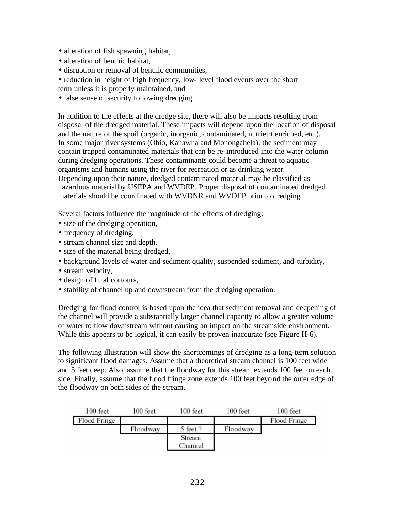- alteration of fish spawning habitat,
- alteration of benthic habitat,
- disruption or removal of benthic communities,
- reduction in height of high frequency, low- level flood events over the short

term unless it is properly maintained, and

• false sense of security following dredging.

In addition to the effects at the dredge site, there will also be impacts resulting from disposal of the dredged material. These impacts will depend upon the location of disposal and the nature of the spoil (organic, inorganic, contaminated, nutrient enriched, etc.). In some major river systems (Ohio, Kanawha and Monongahela), the sediment may contain trapped contaminated materials that can be re-introduced into the water column during dredging operations. These contaminants could become a threat to aquatic organisms and humans using the river for recreation or as drinking water. Depending upon their nature, dredged contaminated material may be classified as hazardous material by USEPA and WVDEP. Proper disposal of contaminated dredged materials should be coordinated with WVDNR and WVDEP prior to dredging.

Several factors influence the magnitude of the effects of dredging:

- size of the dredging operation,
- frequency of dredging,
- stream channel size and depth,
- size of the material being dredged,
- background levels of water and sediment quality, suspended sediment, and turbidity,
- stream velocity,
- design of final contours,
- stability of channel up and downstream from the dredging operation.

Dredging for flood control is based upon the idea that sediment removal and deepening of the channel will provide a substantially larger channel capacity to allow a greater volume of water to flow downstream without causing an impact on the streamside environment. While this appears to be logical, it can easily be proven inaccurate (see Figure H-6).

The following illustration will show the shortcomings of dredging as a long-term solution to significant flood damages. Assume that a theoretical stream channel is 100 feet wide and 5 feet deep. Also, assume that the floodway for this stream extends 100 feet on each side. Finally, assume that the flood fringe zone extends 100 feet beyond the outer edge of the floodway on both sides of the stream.

| 100 feet     | 100 feet | 100 feet | 100 feet | 100 feet     |
|--------------|----------|----------|----------|--------------|
| Flood Fringe |          |          |          | Flood Fringe |
|              | Floodway | 5 feet ? | Floodway |              |
|              |          | Stream   |          |              |
|              |          | Channel  |          |              |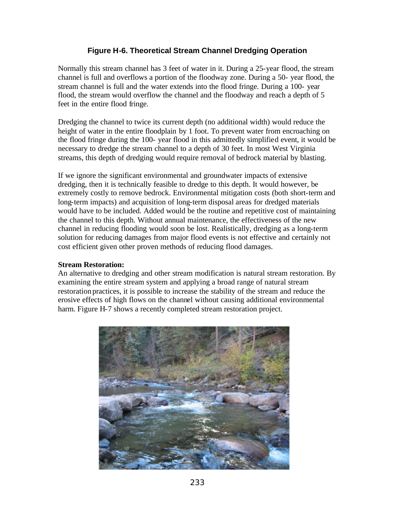## **Figure H-6. Theoretical Stream Channel Dredging Operation**

Normally this stream channel has 3 feet of water in it. During a 25-year flood, the stream channel is full and overflows a portion of the floodway zone. During a 50- year flood, the stream channel is full and the water extends into the flood fringe. During a 100- year flood, the stream would overflow the channel and the floodway and reach a depth of 5 feet in the entire flood fringe.

Dredging the channel to twice its current depth (no additional width) would reduce the height of water in the entire floodplain by 1 foot. To prevent water from encroaching on the flood fringe during the 100- year flood in this admittedly simplified event, it would be necessary to dredge the stream channel to a depth of 30 feet. In most West Virginia streams, this depth of dredging would require removal of bedrock material by blasting.

If we ignore the significant environmental and groundwater impacts of extensive dredging, then it is technically feasible to dredge to this depth. It would however, be extremely costly to remove bedrock. Environmental mitigation costs (both short-term and long-term impacts) and acquisition of long-term disposal areas for dredged materials would have to be included. Added would be the routine and repetitive cost of maintaining the channel to this depth. Without annual maintenance, the effectiveness of the new channel in reducing flooding would soon be lost. Realistically, dredging as a long-term solution for reducing damages from major flood events is not effective and certainly not cost efficient given other proven methods of reducing flood damages.

#### **Stream Restoration:**

An alternative to dredging and other stream modification is natural stream restoration. By examining the entire stream system and applying a broad range of natural stream restoration practices, it is possible to increase the stability of the stream and reduce the erosive effects of high flows on the channel without causing additional environmental harm. Figure H-7 shows a recently completed stream restoration project.

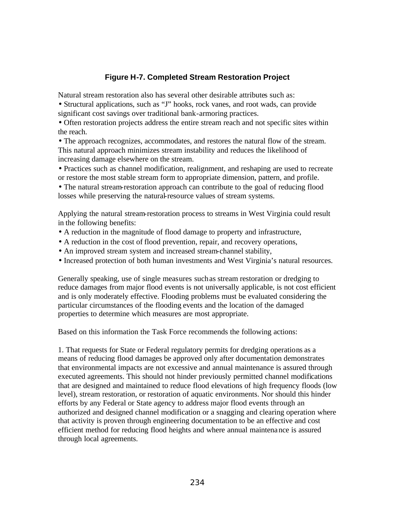## **Figure H-7. Completed Stream Restoration Project**

Natural stream restoration also has several other desirable attributes such as:

• Structural applications, such as "J" hooks, rock vanes, and root wads, can provide significant cost savings over traditional bank-armoring practices.

• Often restoration projects address the entire stream reach and not specific sites within the reach.

• The approach recognizes, accommodates, and restores the natural flow of the stream. This natural approach minimizes stream instability and reduces the likelihood of increasing damage elsewhere on the stream.

• Practices such as channel modification, realignment, and reshaping are used to recreate or restore the most stable stream form to appropriate dimension, pattern, and profile.

• The natural stream-restoration approach can contribute to the goal of reducing flood losses while preserving the natural-resource values of stream systems.

Applying the natural stream-restoration process to streams in West Virginia could result in the following benefits:

- A reduction in the magnitude of flood damage to property and infrastructure,
- A reduction in the cost of flood prevention, repair, and recovery operations,
- An improved stream system and increased stream-channel stability,
- Increased protection of both human investments and West Virginia's natural resources.

Generally speaking, use of single measures such as stream restoration or dredging to reduce damages from major flood events is not universally applicable, is not cost efficient and is only moderately effective. Flooding problems must be evaluated considering the particular circumstances of the flooding events and the location of the damaged properties to determine which measures are most appropriate.

Based on this information the Task Force recommends the following actions:

1. That requests for State or Federal regulatory permits for dredging operations as a means of reducing flood damages be approved only after documentation demonstrates that environmental impacts are not excessive and annual maintenance is assured through executed agreements. This should not hinder previously permitted channel modifications that are designed and maintained to reduce flood elevations of high frequency floods (low level), stream restoration, or restoration of aquatic environments. Nor should this hinder efforts by any Federal or State agency to address major flood events through an authorized and designed channel modification or a snagging and clearing operation where that activity is proven through engineering documentation to be an effective and cost efficient method for reducing flood heights and where annual maintenance is assured through local agreements.